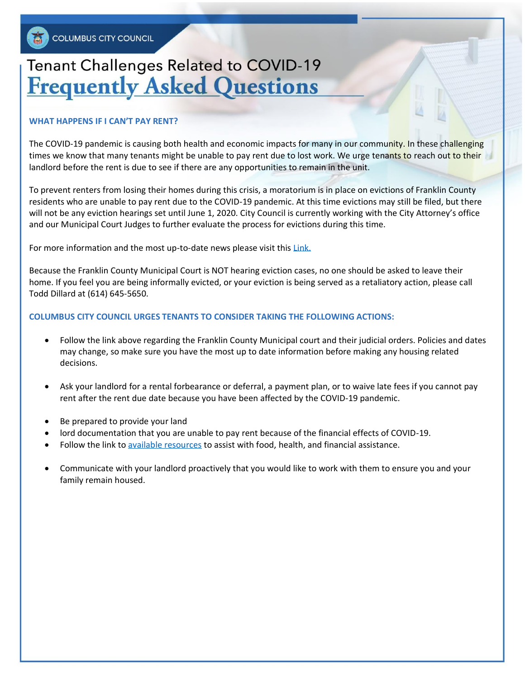## **Tenant Challenges Related to COVID-19 Frequently Asked Questions**

#### **WHAT HAPPENS IF I CAN'T PAY RENT?**

The COVID-19 pandemic is causing both health and economic impacts for many in our community. In these challenging times we know that many tenants might be unable to pay rent due to lost work. We urge tenants to reach out to their landlord before the rent is due to see if there are any opportunities to remain in the unit.

To prevent renters from losing their homes during this crisis, a moratorium is in place on evictions of Franklin County residents who are unable to pay rent due to the COVID-19 pandemic. At this time evictions may still be filed, but there will not be any eviction hearings set until June 1, 2020. City Council is currently working with the City Attorney's office and our Municipal Court Judges to further evaluate the process for evictions during this time.

For more information and the most up-to-date news please visit this [Link.](http://www.fcmcclerk.com/?announcement#franklin-county-municipal-court-operations-during-covid19-pandemic)

Because the Franklin County Municipal Court is NOT hearing eviction cases, no one should be asked to leave their home. If you feel you are being informally evicted, or your eviction is being served as a retaliatory action, please call Todd Dillard at (614) 645-5650.

#### **COLUMBUS CITY COUNCIL URGES TENANTS TO CONSIDER TAKING THE FOLLOWING ACTIONS:**

- Follow the link above regarding the Franklin County Municipal court and their judicial orders. Policies and dates may change, so make sure you have the most up to date information before making any housing related decisions.
- Ask your landlord for a rental forbearance or deferral, a payment plan, or to waive late fees if you cannot pay rent after the rent due date because you have been affected by the COVID-19 pandemic.
- Be prepared to provide your land
- lord documentation that you are unable to pay rent because of the financial effects of COVID-19.
- Follow the link t[o available resources](https://www.columbus.gov/covid19resources/) to assist with food, health, and financial assistance.
- Communicate with your landlord proactively that you would like to work with them to ensure you and your family remain housed.